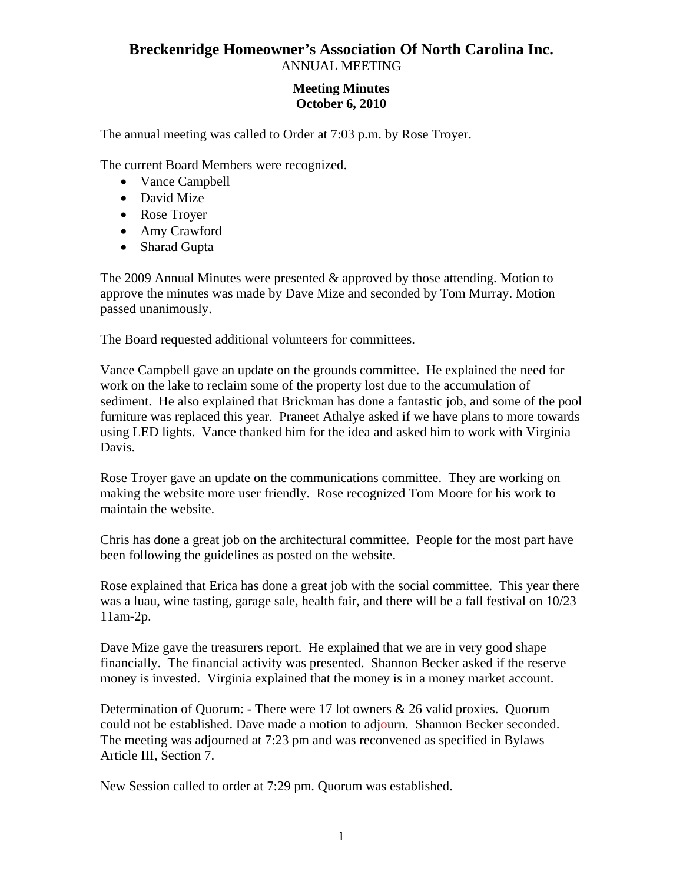## **Breckenridge Homeowner's Association Of North Carolina Inc.**  ANNUAL MEETING

## **Meeting Minutes October 6, 2010**

The annual meeting was called to Order at 7:03 p.m. by Rose Troyer.

The current Board Members were recognized.

- Vance Campbell
- David Mize
- Rose Troyer
- Amy Crawford
- Sharad Gupta

The 2009 Annual Minutes were presented & approved by those attending. Motion to approve the minutes was made by Dave Mize and seconded by Tom Murray. Motion passed unanimously.

The Board requested additional volunteers for committees.

Vance Campbell gave an update on the grounds committee. He explained the need for work on the lake to reclaim some of the property lost due to the accumulation of sediment. He also explained that Brickman has done a fantastic job, and some of the pool furniture was replaced this year. Praneet Athalye asked if we have plans to more towards using LED lights. Vance thanked him for the idea and asked him to work with Virginia Davis.

Rose Troyer gave an update on the communications committee. They are working on making the website more user friendly. Rose recognized Tom Moore for his work to maintain the website.

Chris has done a great job on the architectural committee. People for the most part have been following the guidelines as posted on the website.

Rose explained that Erica has done a great job with the social committee. This year there was a luau, wine tasting, garage sale, health fair, and there will be a fall festival on 10/23 11am-2p.

Dave Mize gave the treasurers report. He explained that we are in very good shape financially. The financial activity was presented. Shannon Becker asked if the reserve money is invested. Virginia explained that the money is in a money market account.

Determination of Quorum: - There were 17 lot owners & 26 valid proxies. Quorum could not be established. Dave made a motion to adjourn. Shannon Becker seconded. The meeting was adjourned at 7:23 pm and was reconvened as specified in Bylaws Article III, Section 7.

New Session called to order at 7:29 pm. Quorum was established.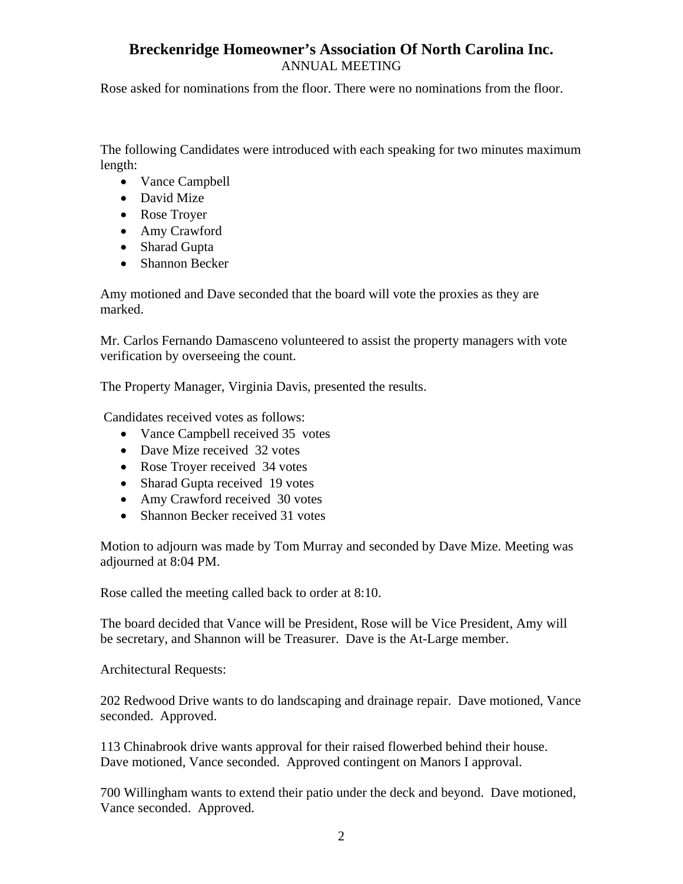## **Breckenridge Homeowner's Association Of North Carolina Inc.**  ANNUAL MEETING

Rose asked for nominations from the floor. There were no nominations from the floor.

The following Candidates were introduced with each speaking for two minutes maximum length:

- Vance Campbell
- David Mize
- Rose Troyer
- Amy Crawford
- Sharad Gupta
- Shannon Becker

Amy motioned and Dave seconded that the board will vote the proxies as they are marked.

Mr. Carlos Fernando Damasceno volunteered to assist the property managers with vote verification by overseeing the count.

The Property Manager, Virginia Davis, presented the results.

Candidates received votes as follows:

- Vance Campbell received 35 votes
- Dave Mize received 32 votes
- Rose Troyer received 34 votes
- Sharad Gupta received 19 votes
- Amy Crawford received 30 votes
- Shannon Becker received 31 votes

Motion to adjourn was made by Tom Murray and seconded by Dave Mize. Meeting was adjourned at 8:04 PM.

Rose called the meeting called back to order at 8:10.

The board decided that Vance will be President, Rose will be Vice President, Amy will be secretary, and Shannon will be Treasurer. Dave is the At-Large member.

Architectural Requests:

202 Redwood Drive wants to do landscaping and drainage repair. Dave motioned, Vance seconded. Approved.

113 Chinabrook drive wants approval for their raised flowerbed behind their house. Dave motioned, Vance seconded. Approved contingent on Manors I approval.

700 Willingham wants to extend their patio under the deck and beyond. Dave motioned, Vance seconded. Approved.